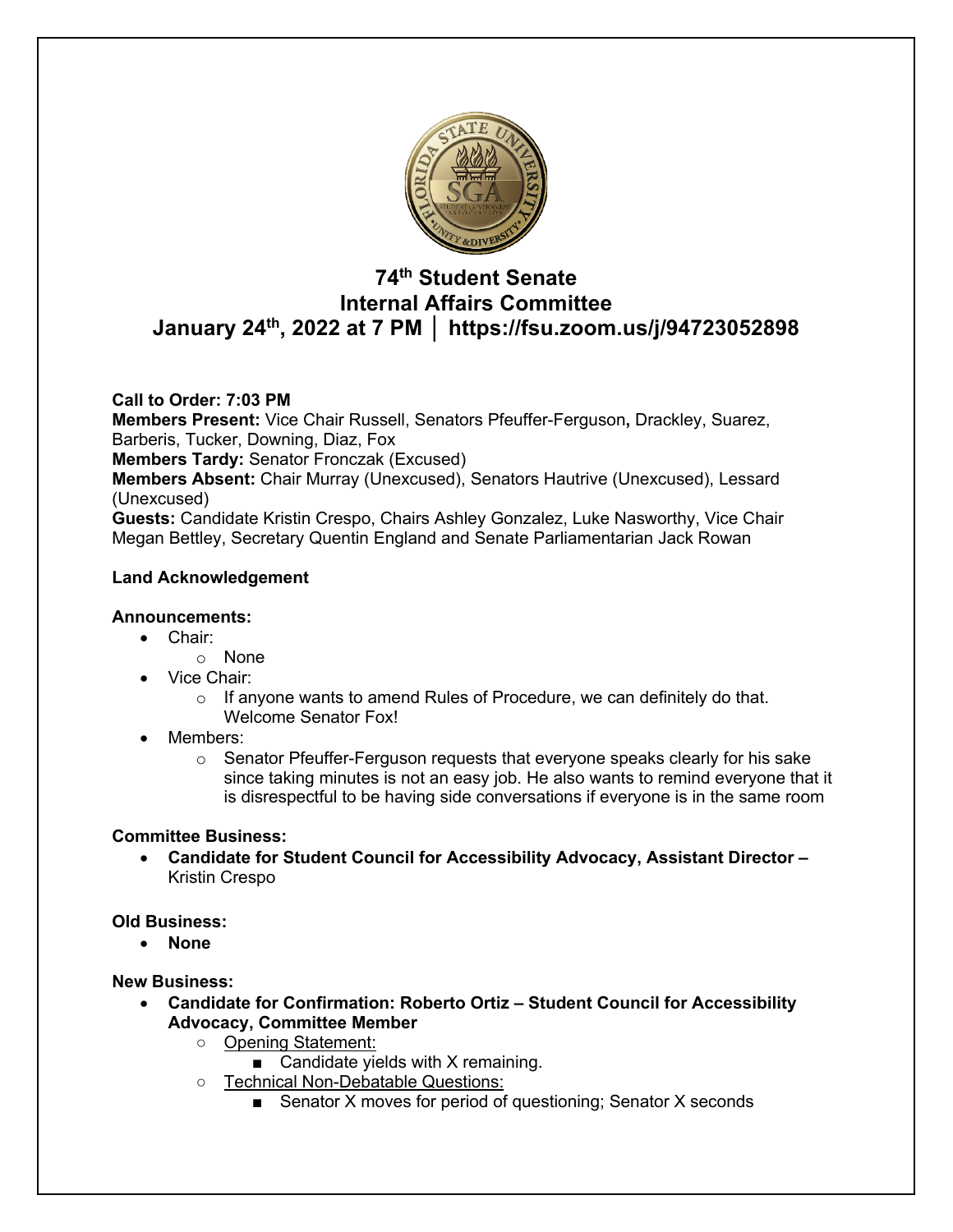

# **74th Student Senate Internal Affairs Committee January 24th, 2022 at 7 PM │ https://fsu.zoom.us/j/94723052898**

# **Call to Order: 7:03 PM**

**Members Present:** Vice Chair Russell, Senators Pfeuffer-Ferguson**,** Drackley, Suarez, Barberis, Tucker, Downing, Diaz, Fox

**Members Tardy:** Senator Fronczak (Excused)

**Members Absent:** Chair Murray (Unexcused), Senators Hautrive (Unexcused), Lessard (Unexcused)

**Guests:** Candidate Kristin Crespo, Chairs Ashley Gonzalez, Luke Nasworthy, Vice Chair Megan Bettley, Secretary Quentin England and Senate Parliamentarian Jack Rowan

# **Land Acknowledgement**

### **Announcements:**

- Chair:
	- o None
- Vice Chair:
	- $\circ$  If anyone wants to amend Rules of Procedure, we can definitely do that. Welcome Senator Fox!
- Members:
	- $\circ$  Senator Pfeuffer-Ferguson requests that everyone speaks clearly for his sake since taking minutes is not an easy job. He also wants to remind everyone that it is disrespectful to be having side conversations if everyone is in the same room

### **Committee Business:**

• **Candidate for Student Council for Accessibility Advocacy, Assistant Director –** Kristin Crespo

### **Old Business:**

• **None**

### **New Business:**

- **Candidate for Confirmation: Roberto Ortiz – Student Council for Accessibility Advocacy, Committee Member**
	- Opening Statement:
		- Candidate yields with  $X$  remaining.
	- Technical Non-Debatable Questions:
		- Senator X moves for period of questioning; Senator X seconds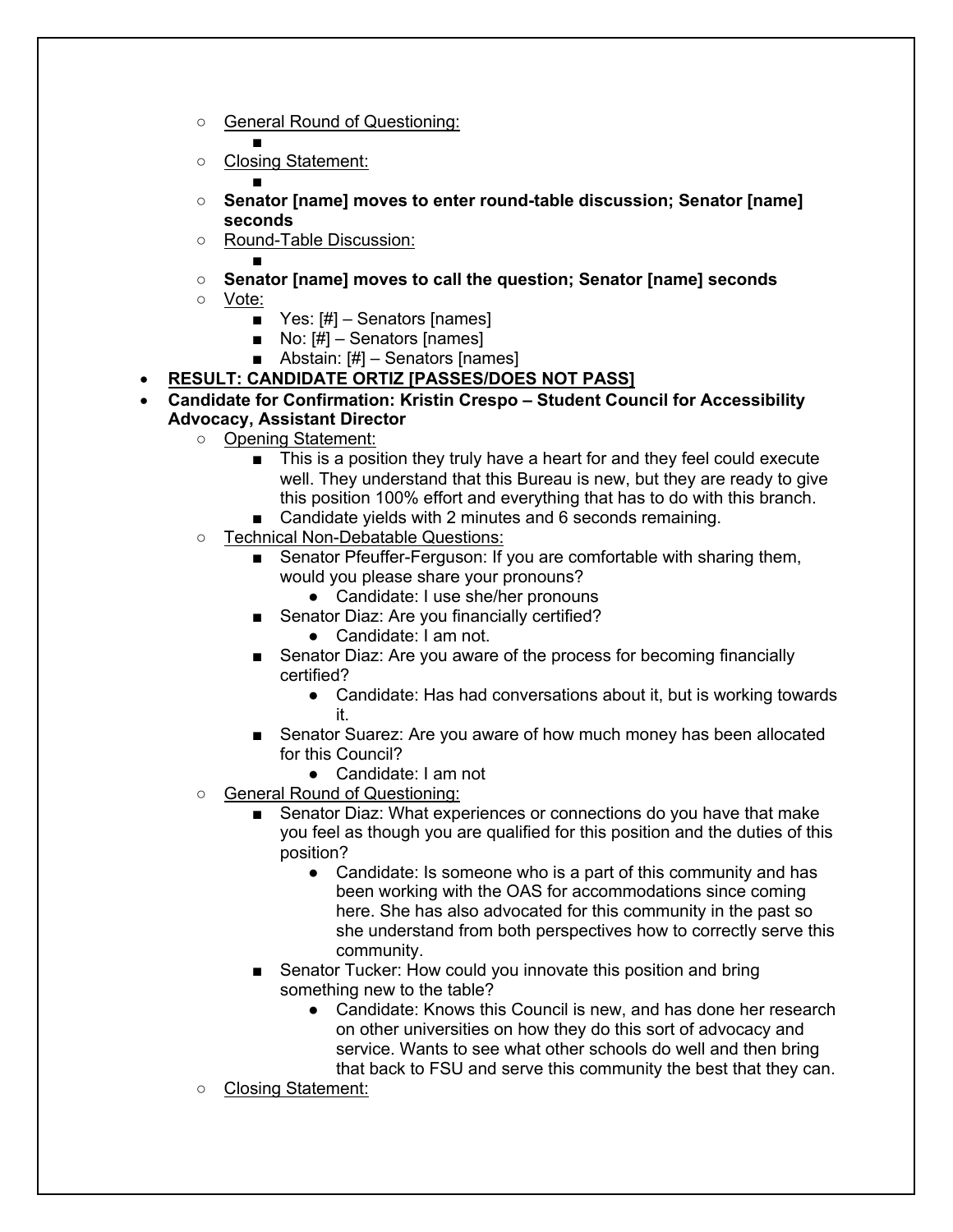- General Round of Questioning:
	- ■
- Closing Statement:
- ○ **Senator [name] moves to enter round-table discussion; Senator [name] seconds**
- Round-Table Discussion:
- ○ **Senator [name] moves to call the question; Senator [name] seconds**
- Vote:
	- Yes: [#] Senators [names]
	- $\blacksquare$  No:  $\lfloor \frac{\#}{\} \rfloor$  Senators [names]
	- Abstain:  $[#]$  Senators [names]
- **RESULT: CANDIDATE ORTIZ [PASSES/DOES NOT PASS]**
- **Candidate for Confirmation: Kristin Crespo – Student Council for Accessibility Advocacy, Assistant Director**
	- Opening Statement:
		- This is a position they truly have a heart for and they feel could execute well. They understand that this Bureau is new, but they are ready to give this position 100% effort and everything that has to do with this branch.
		- Candidate yields with 2 minutes and 6 seconds remaining.
	- Technical Non-Debatable Questions:
		- Senator Pfeuffer-Ferguson: If you are comfortable with sharing them, would you please share your pronouns?
			- Candidate: I use she/her pronouns
		- Senator Diaz: Are you financially certified?
			- Candidate: I am not.
		- Senator Diaz: Are you aware of the process for becoming financially certified?
			- Candidate: Has had conversations about it, but is working towards it.
		- Senator Suarez: Are you aware of how much money has been allocated for this Council?
			- Candidate: I am not
	- General Round of Questioning:
		- Senator Diaz: What experiences or connections do you have that make you feel as though you are qualified for this position and the duties of this position?
			- Candidate: Is someone who is a part of this community and has been working with the OAS for accommodations since coming here. She has also advocated for this community in the past so she understand from both perspectives how to correctly serve this community.
		- Senator Tucker: How could you innovate this position and bring something new to the table?
			- Candidate: Knows this Council is new, and has done her research on other universities on how they do this sort of advocacy and service. Wants to see what other schools do well and then bring that back to FSU and serve this community the best that they can.
	- Closing Statement: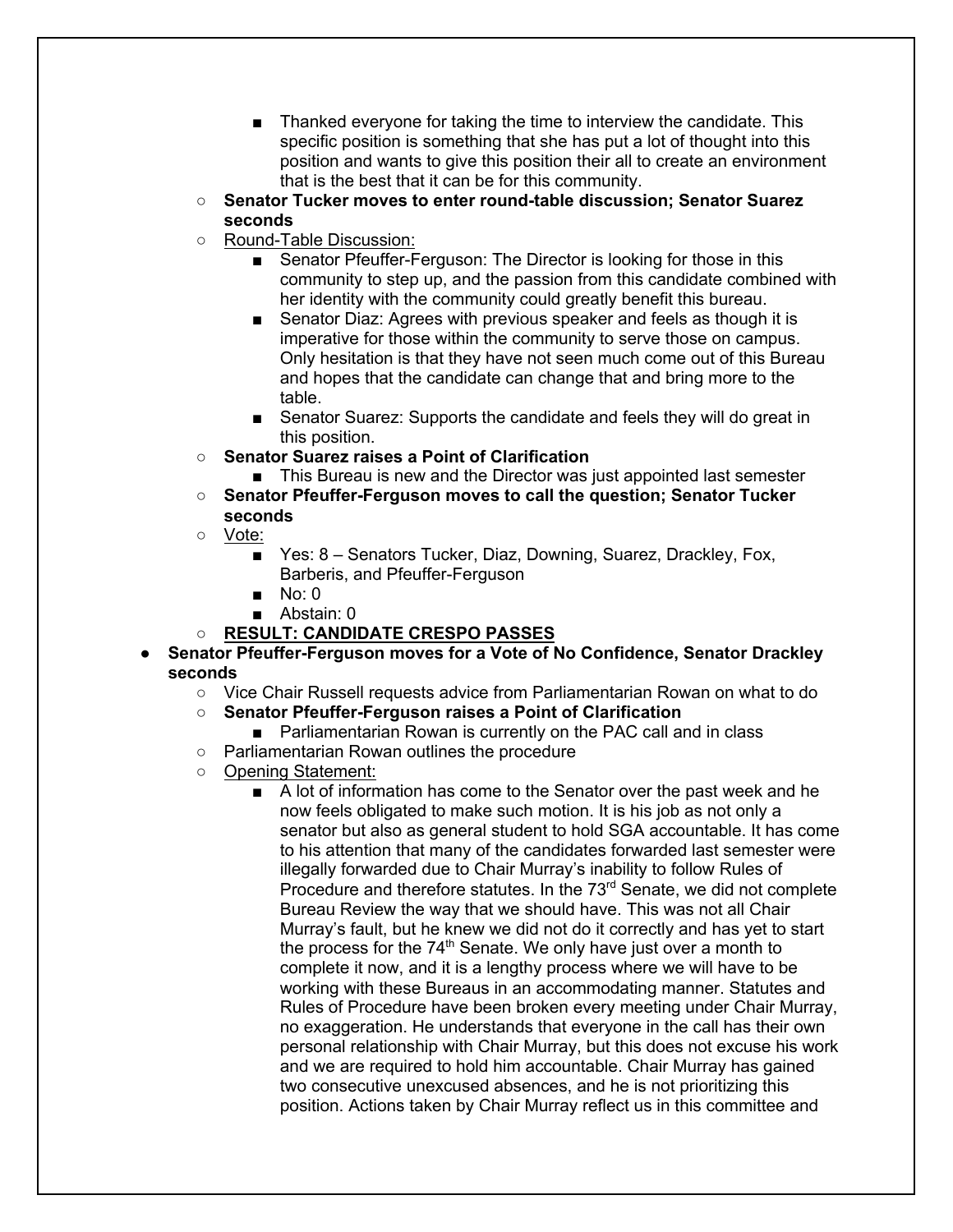- Thanked everyone for taking the time to interview the candidate. This specific position is something that she has put a lot of thought into this position and wants to give this position their all to create an environment that is the best that it can be for this community.
- **Senator Tucker moves to enter round-table discussion; Senator Suarez seconds**
- Round-Table Discussion:
	- Senator Pfeuffer-Ferguson: The Director is looking for those in this community to step up, and the passion from this candidate combined with her identity with the community could greatly benefit this bureau.
	- Senator Diaz: Agrees with previous speaker and feels as though it is imperative for those within the community to serve those on campus. Only hesitation is that they have not seen much come out of this Bureau and hopes that the candidate can change that and bring more to the table.
	- Senator Suarez: Supports the candidate and feels they will do great in this position.
- **Senator Suarez raises a Point of Clarification**
	- This Bureau is new and the Director was just appointed last semester
- **Senator Pfeuffer-Ferguson moves to call the question; Senator Tucker seconds**
- Vote:
	- Yes: 8 Senators Tucker, Diaz, Downing, Suarez, Drackley, Fox, Barberis, and Pfeuffer-Ferguson
	- No: 0
	- Abstain: 0

# ○ **RESULT: CANDIDATE CRESPO PASSES**

- **Senator Pfeuffer-Ferguson moves for a Vote of No Confidence, Senator Drackley seconds**
	- Vice Chair Russell requests advice from Parliamentarian Rowan on what to do
	- **Senator Pfeuffer-Ferguson raises a Point of Clarification**
		- Parliamentarian Rowan is currently on the PAC call and in class
	- Parliamentarian Rowan outlines the procedure
	- Opening Statement:
		- A lot of information has come to the Senator over the past week and he now feels obligated to make such motion. It is his job as not only a senator but also as general student to hold SGA accountable. It has come to his attention that many of the candidates forwarded last semester were illegally forwarded due to Chair Murray's inability to follow Rules of Procedure and therefore statutes. In the 73<sup>rd</sup> Senate, we did not complete Bureau Review the way that we should have. This was not all Chair Murray's fault, but he knew we did not do it correctly and has yet to start the process for the  $74<sup>th</sup>$  Senate. We only have just over a month to complete it now, and it is a lengthy process where we will have to be working with these Bureaus in an accommodating manner. Statutes and Rules of Procedure have been broken every meeting under Chair Murray, no exaggeration. He understands that everyone in the call has their own personal relationship with Chair Murray, but this does not excuse his work and we are required to hold him accountable. Chair Murray has gained two consecutive unexcused absences, and he is not prioritizing this position. Actions taken by Chair Murray reflect us in this committee and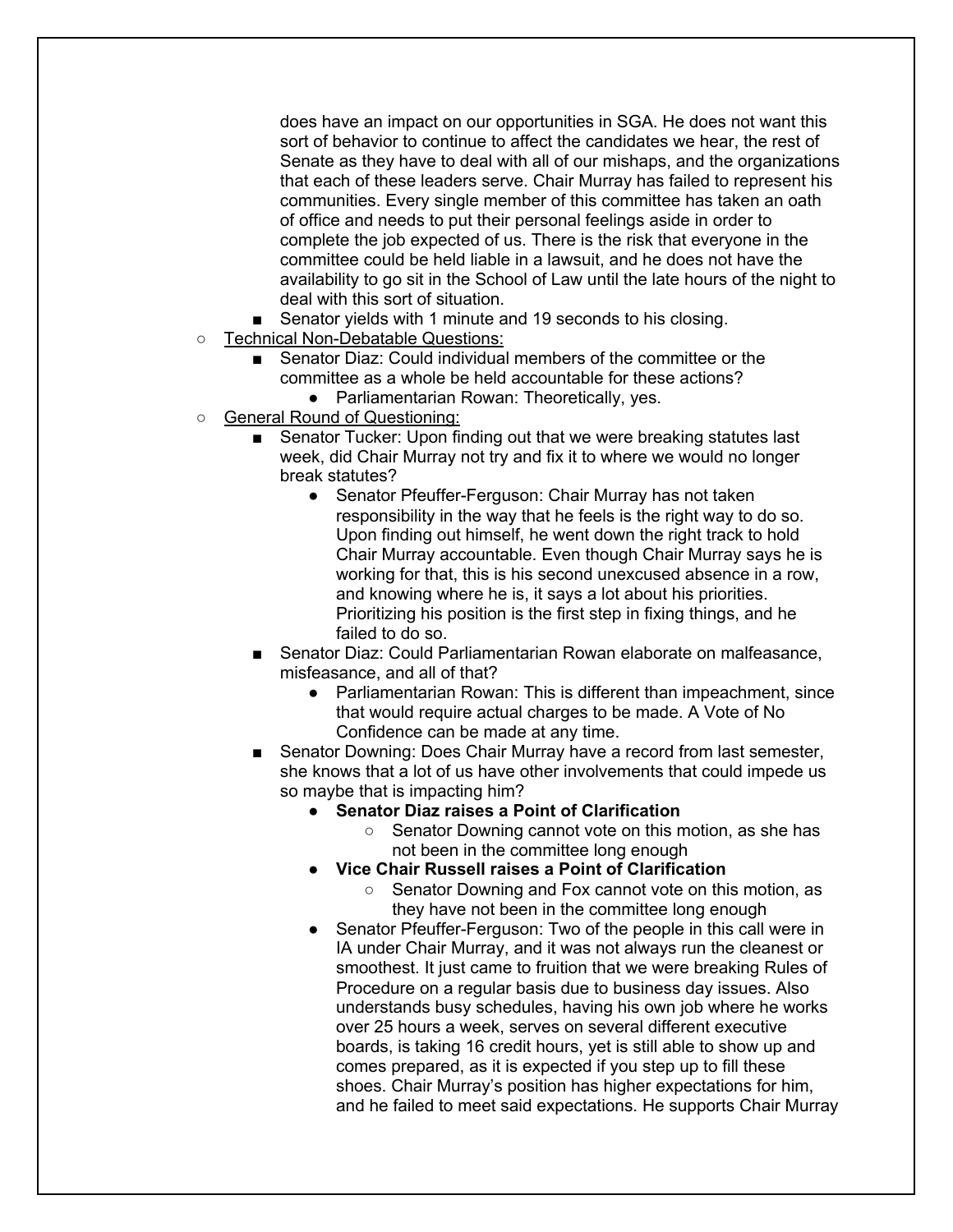does have an impact on our opportunities in SGA. He does not want this sort of behavior to continue to affect the candidates we hear, the rest of Senate as they have to deal with all of our mishaps, and the organizations that each of these leaders serve. Chair Murray has failed to represent his communities. Every single member of this committee has taken an oath of office and needs to put their personal feelings aside in order to complete the job expected of us. There is the risk that everyone in the committee could be held liable in a lawsuit, and he does not have the availability to go sit in the School of Law until the late hours of the night to deal with this sort of situation.

- Senator yields with 1 minute and 19 seconds to his closing.
- Technical Non-Debatable Questions:
	- Senator Diaz: Could individual members of the committee or the committee as a whole be held accountable for these actions?
		- Parliamentarian Rowan: Theoretically, yes.
- General Round of Questioning:
	- Senator Tucker: Upon finding out that we were breaking statutes last week, did Chair Murray not try and fix it to where we would no longer break statutes?
		- Senator Pfeuffer-Ferguson: Chair Murray has not taken responsibility in the way that he feels is the right way to do so. Upon finding out himself, he went down the right track to hold Chair Murray accountable. Even though Chair Murray says he is working for that, this is his second unexcused absence in a row, and knowing where he is, it says a lot about his priorities. Prioritizing his position is the first step in fixing things, and he failed to do so.
	- Senator Diaz: Could Parliamentarian Rowan elaborate on malfeasance, misfeasance, and all of that?
		- Parliamentarian Rowan: This is different than impeachment, since that would require actual charges to be made. A Vote of No Confidence can be made at any time.
	- Senator Downing: Does Chair Murray have a record from last semester, she knows that a lot of us have other involvements that could impede us so maybe that is impacting him?
		- **Senator Diaz raises a Point of Clarification**
			- Senator Downing cannot vote on this motion, as she has not been in the committee long enough
		- **Vice Chair Russell raises a Point of Clarification**
			- Senator Downing and Fox cannot vote on this motion, as they have not been in the committee long enough
		- Senator Pfeuffer-Ferguson: Two of the people in this call were in IA under Chair Murray, and it was not always run the cleanest or smoothest. It just came to fruition that we were breaking Rules of Procedure on a regular basis due to business day issues. Also understands busy schedules, having his own job where he works over 25 hours a week, serves on several different executive boards, is taking 16 credit hours, yet is still able to show up and comes prepared, as it is expected if you step up to fill these shoes. Chair Murray's position has higher expectations for him, and he failed to meet said expectations. He supports Chair Murray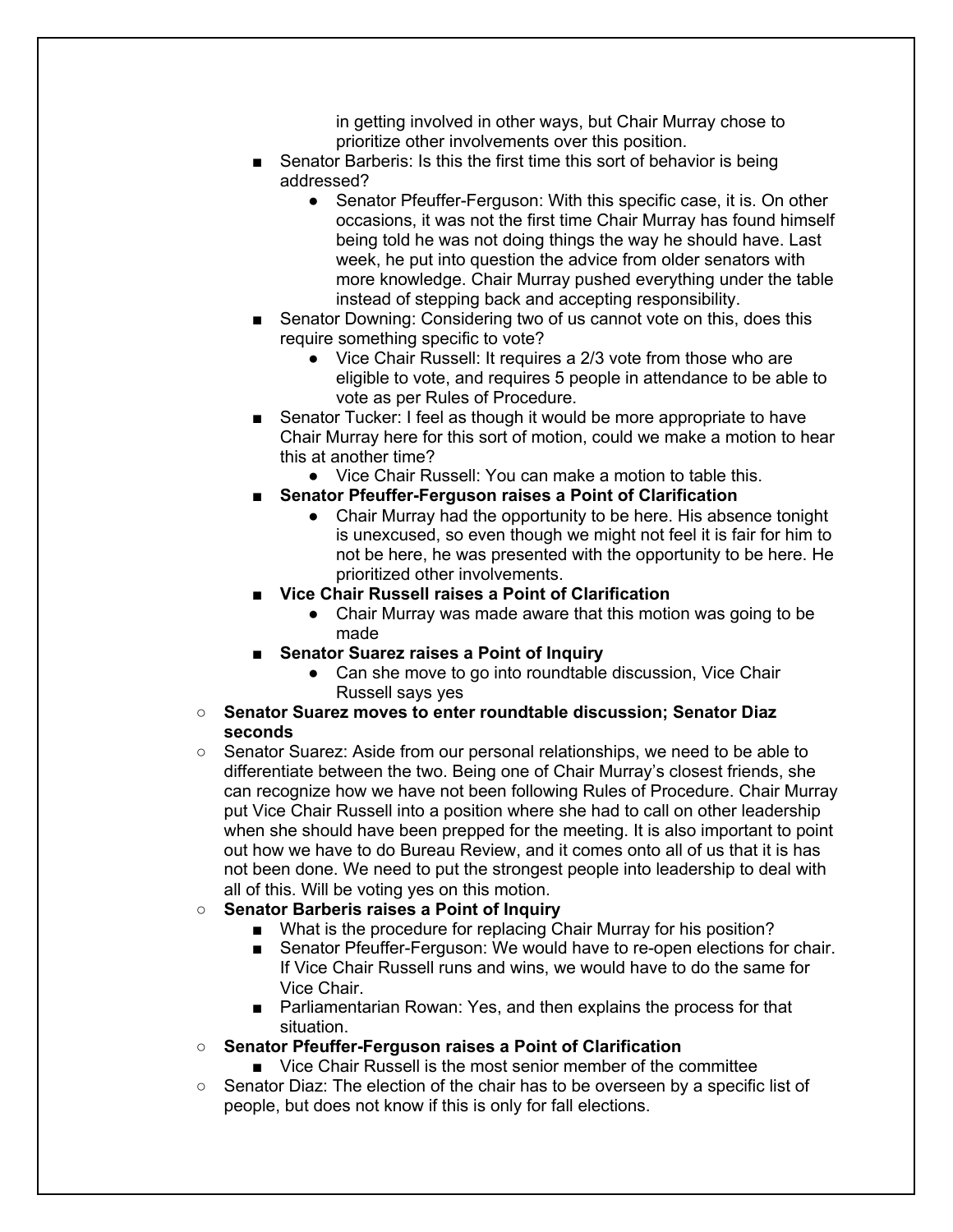in getting involved in other ways, but Chair Murray chose to prioritize other involvements over this position.

- Senator Barberis: Is this the first time this sort of behavior is being addressed?
	- Senator Pfeuffer-Ferguson: With this specific case, it is. On other occasions, it was not the first time Chair Murray has found himself being told he was not doing things the way he should have. Last week, he put into question the advice from older senators with more knowledge. Chair Murray pushed everything under the table instead of stepping back and accepting responsibility.
- Senator Downing: Considering two of us cannot vote on this, does this require something specific to vote?
	- Vice Chair Russell: It requires a 2/3 vote from those who are eligible to vote, and requires 5 people in attendance to be able to vote as per Rules of Procedure.
- Senator Tucker: I feel as though it would be more appropriate to have Chair Murray here for this sort of motion, could we make a motion to hear this at another time?
	- Vice Chair Russell: You can make a motion to table this.
- **Senator Pfeuffer-Ferguson raises a Point of Clarification** 
	- Chair Murray had the opportunity to be here. His absence tonight is unexcused, so even though we might not feel it is fair for him to not be here, he was presented with the opportunity to be here. He prioritized other involvements.
- **Vice Chair Russell raises a Point of Clarification** 
	- Chair Murray was made aware that this motion was going to be made
- **Senator Suarez raises a Point of Inquiry** 
	- Can she move to go into roundtable discussion, Vice Chair Russell says yes

#### ○ **Senator Suarez moves to enter roundtable discussion; Senator Diaz seconds**

○ Senator Suarez: Aside from our personal relationships, we need to be able to differentiate between the two. Being one of Chair Murray's closest friends, she can recognize how we have not been following Rules of Procedure. Chair Murray put Vice Chair Russell into a position where she had to call on other leadership when she should have been prepped for the meeting. It is also important to point out how we have to do Bureau Review, and it comes onto all of us that it is has not been done. We need to put the strongest people into leadership to deal with all of this. Will be voting yes on this motion.

### ○ **Senator Barberis raises a Point of Inquiry**

- What is the procedure for replacing Chair Murray for his position?
- Senator Pfeuffer-Ferguson: We would have to re-open elections for chair. If Vice Chair Russell runs and wins, we would have to do the same for Vice Chair.
- Parliamentarian Rowan: Yes, and then explains the process for that situation.
- **Senator Pfeuffer-Ferguson raises a Point of Clarification**
	- Vice Chair Russell is the most senior member of the committee
- Senator Diaz: The election of the chair has to be overseen by a specific list of people, but does not know if this is only for fall elections.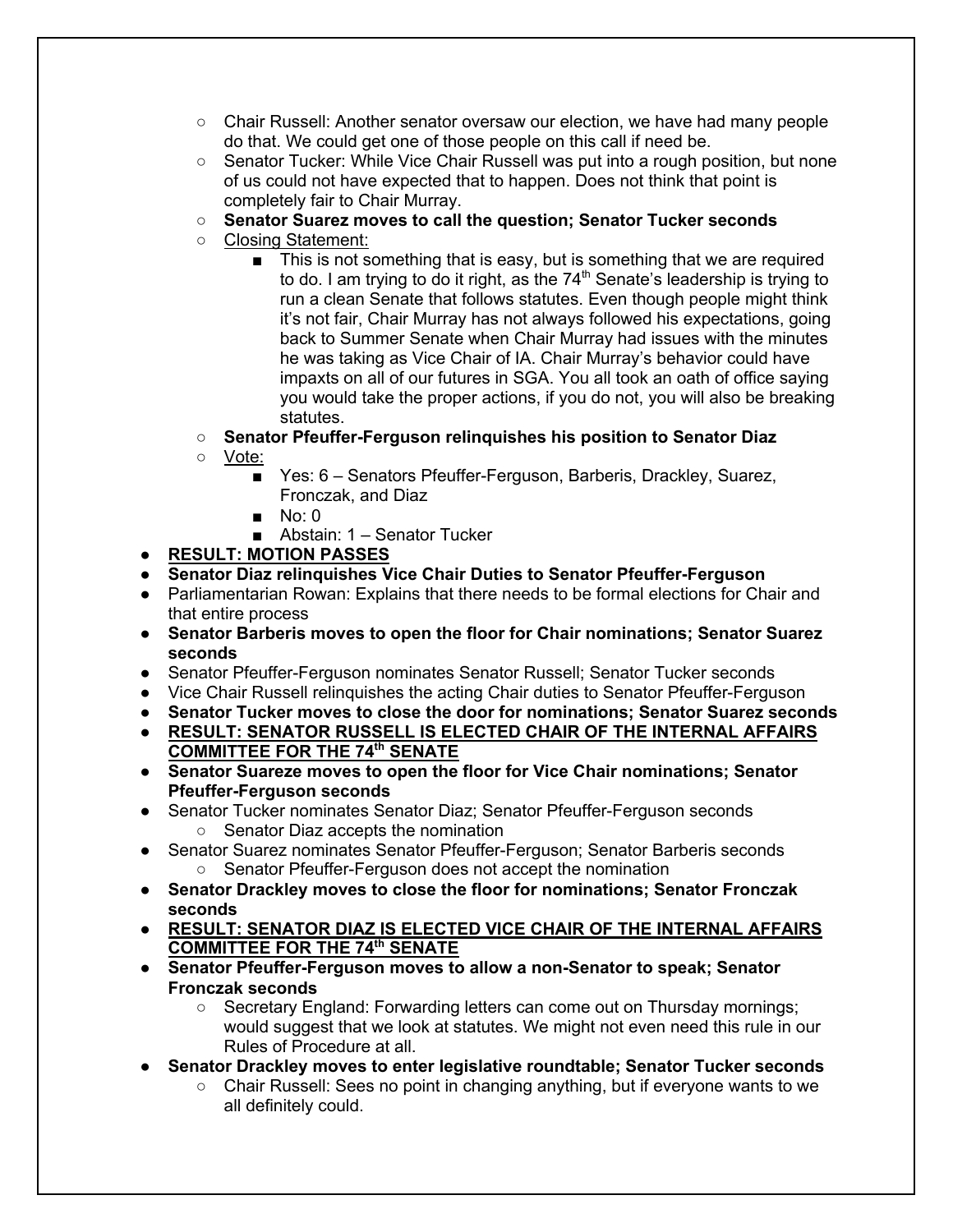- $\circ$  Chair Russell: Another senator oversaw our election, we have had many people do that. We could get one of those people on this call if need be.
- Senator Tucker: While Vice Chair Russell was put into a rough position, but none of us could not have expected that to happen. Does not think that point is completely fair to Chair Murray.
- **Senator Suarez moves to call the question; Senator Tucker seconds**
- Closing Statement:
	- This is not something that is easy, but is something that we are required to do. I am trying to do it right, as the  $74<sup>th</sup>$  Senate's leadership is trying to run a clean Senate that follows statutes. Even though people might think it's not fair, Chair Murray has not always followed his expectations, going back to Summer Senate when Chair Murray had issues with the minutes he was taking as Vice Chair of IA. Chair Murray's behavior could have impaxts on all of our futures in SGA. You all took an oath of office saying you would take the proper actions, if you do not, you will also be breaking statutes.
- **Senator Pfeuffer-Ferguson relinquishes his position to Senator Diaz**
- Vote:
	- Yes: 6 Senators Pfeuffer-Ferguson, Barberis, Drackley, Suarez, Fronczak, and Diaz
	- No: 0
	- Abstain: 1 Senator Tucker
- **RESULT: MOTION PASSES**
- **Senator Diaz relinquishes Vice Chair Duties to Senator Pfeuffer-Ferguson**
- Parliamentarian Rowan: Explains that there needs to be formal elections for Chair and that entire process
- **Senator Barberis moves to open the floor for Chair nominations; Senator Suarez seconds**
- Senator Pfeuffer-Ferguson nominates Senator Russell; Senator Tucker seconds
- Vice Chair Russell relinquishes the acting Chair duties to Senator Pfeuffer-Ferguson
- **Senator Tucker moves to close the door for nominations; Senator Suarez seconds**
- **RESULT: SENATOR RUSSELL IS ELECTED CHAIR OF THE INTERNAL AFFAIRS COMMITTEE FOR THE 74th SENATE**
- **Senator Suareze moves to open the floor for Vice Chair nominations; Senator Pfeuffer-Ferguson seconds**
- Senator Tucker nominates Senator Diaz; Senator Pfeuffer-Ferguson seconds
	- Senator Diaz accepts the nomination
- Senator Suarez nominates Senator Pfeuffer-Ferguson: Senator Barberis seconds ○ Senator Pfeuffer-Ferguson does not accept the nomination
- **Senator Drackley moves to close the floor for nominations; Senator Fronczak seconds**
- **RESULT: SENATOR DIAZ IS ELECTED VICE CHAIR OF THE INTERNAL AFFAIRS COMMITTEE FOR THE 74th SENATE**
- **Senator Pfeuffer-Ferguson moves to allow a non-Senator to speak; Senator Fronczak seconds**
	- Secretary England: Forwarding letters can come out on Thursday mornings; would suggest that we look at statutes. We might not even need this rule in our Rules of Procedure at all.
- **Senator Drackley moves to enter legislative roundtable; Senator Tucker seconds**
	- Chair Russell: Sees no point in changing anything, but if everyone wants to we all definitely could.